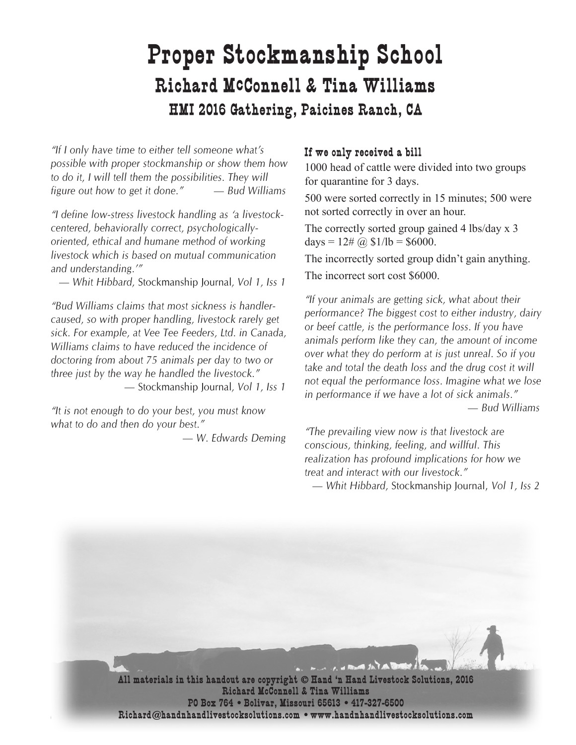# **Proper Stockmanship School Richard McConnell & Tina Williams HMI 2016 Gathering, Paicines Ranch, CA**

*"If I only have time to either tell someone what's possible with proper stockmanship or show them how*  to do *it*, *I will tell them the possibilities*. They will *figure out how to get it done." — Bud Williams*

*"I define low-stress livestock handling as 'a livestockcentered, behaviorally correct, psychologicallyoriented, ethical and humane method of working livestock which is based on mutual communication and understanding.'"* 

*— Whit Hibbard,* Stockmanship Journal*, Vol 1, Iss 1*

*"Bud Williams claims that most sickness is handlercaused, so with proper handling, livestock rarely get sick. For example, at Vee Tee Feeders, Ltd. in Canada, Williams claims to have reduced the incidence of doctoring from about 75 animals per day to two or three just by the way he handled the livestock." —* Stockmanship Journal*, Vol 1, Iss 1*

*"It is not enough to do your best, you must know what to do and then do your best."*

*— W. Edwards Deming*

#### **If we only received a bill**

1000 head of cattle were divided into two groups for quarantine for 3 days.

500 were sorted correctly in 15 minutes; 500 were not sorted correctly in over an hour.

The correctly sorted group gained 4 lbs/day x 3  $days = 12\# (a) $1/lb = $6000.$ 

The incorrectly sorted group didn't gain anything. The incorrect sort cost \$6000.

*"If your animals are getting sick, what about their performance? The biggest cost to either industry, dairy or beef cattle, is the performance loss. If you have animals perform like they can, the amount of income over what they do perform at is just unreal. So if you take and total the death loss and the drug cost it will not equal the performance loss. Imagine what we lose in performance if we have a lot of sick animals." — Bud Williams* 

*"The prevailing view now is that livestock are conscious, thinking, feeling, and willful. This realization has profound implications for how we treat and interact with our livestock."* 

*— Whit Hibbard,* Stockmanship Journal, *Vol 1, Iss 2*

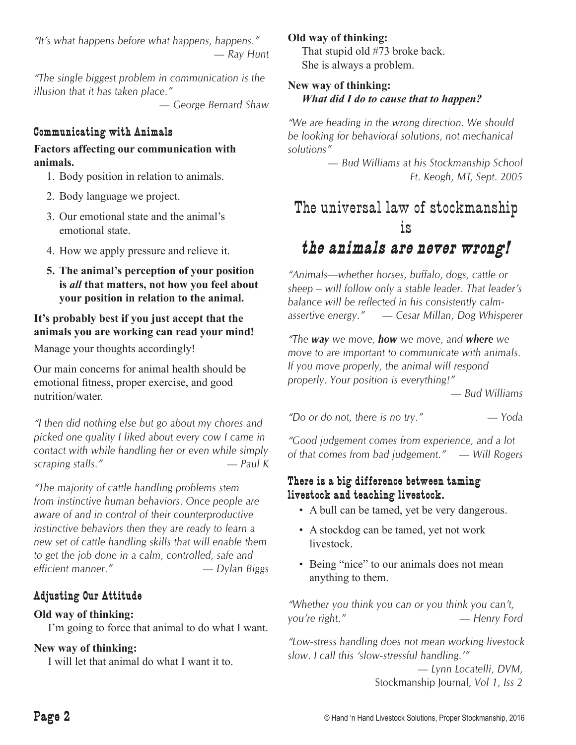*"It's what happens before what happens, happens." — Ray Hunt*

*"The single biggest problem in communication is the illusion that it has taken place."* 

*— George Bernard Shaw*

#### **Communicating with Animals**

#### **Factors affecting our communication with animals.**

- 1. Body position in relation to animals.
- 2. Body language we project.
- 3. Our emotional state and the animal's emotional state.
- 4. How we apply pressure and relieve it.
- **5. The animal's perception of your position is** *all* **that matters, not how you feel about your position in relation to the animal.**

# **It's probably best if you just accept that the animals you are working can read your mind!**

Manage your thoughts accordingly!

Our main concerns for animal health should be emotional fitness, proper exercise, and good nutrition/water.

*"I then did nothing else but go about my chores and picked one quality I liked about every cow I came in contact with while handling her or even while simply scraping stalls." — Paul K*

*"The majority of cattle handling problems stem from instinctive human behaviors. Once people are aware of and in control of their counterproductive instinctive behaviors then they are ready to learn a new set of cattle handling skills that will enable them to get the job done in a calm, controlled, safe and efficient manner." — Dylan Biggs*

# **Adjusting Our Attitude**

# **Old way of thinking:**

I'm going to force that animal to do what I want.

# **New way of thinking:**

I will let that animal do what I want it to.

#### **Old way of thinking:**

 That stupid old #73 broke back. She is always a problem.

#### **New way of thinking:** *What did I do to cause that to happen?*

*"We are heading in the wrong direction. We should be looking for behavioral solutions, not mechanical solutions"* 

*— Bud Williams at his Stockmanship School Ft. Keogh, MT, Sept. 2005*

# The universal law of stockmanship is

# *the animals are never wrong!*

*"Animals—whether horses, buffalo, dogs, cattle or sheep – will follow only a stable leader. That leader's balance will be reflected in his consistently calmassertive energy." — Cesar Millan, Dog Whisperer*

*"The way we move, how we move, and where we move to are important to communicate with animals. If you move properly, the animal will respond properly. Your position is everything!"*

*— Bud Williams*

*"Do or do not, there is no try." — Yoda*

*"Good judgement comes from experience, and a lot of that comes from bad judgement." — Will Rogers*

#### **There is a big difference between taming livestock and teaching livestock.**

- • A bull can be tamed, yet be very dangerous.
- A stockdog can be tamed, yet not work livestock.
- Being "nice" to our animals does not mean anything to them.

*"Whether you think you can or you think you can't, you're right." — Henry Ford*

*"Low-stress handling does not mean working livestock slow. I call this 'slow-stressful handling.'"* 

> *— Lynn Locatelli, DVM,*  Stockmanship Journal*, Vol 1, Iss 2*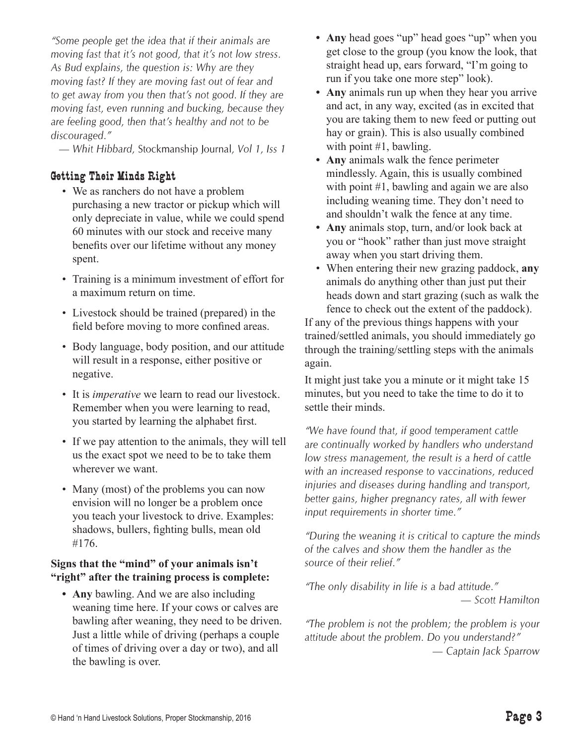*"Some people get the idea that if their animals are moving fast that it's not good, that it's not low stress. As Bud explains, the question is: Why are they moving fast? If they are moving fast out of fear and to get away from you then that's not good. If they are moving fast, even running and bucking, because they are feeling good, then that's healthy and not to be discouraged."* 

*— Whit Hibbard,* Stockmanship Journal*, Vol 1, Iss 1*

#### **Getting Their Minds Right**

- We as ranchers do not have a problem purchasing a new tractor or pickup which will only depreciate in value, while we could spend 60 minutes with our stock and receive many benefits over our lifetime without any money spent.
- Training is a minimum investment of effort for a maximum return on time.
- Livestock should be trained (prepared) in the field before moving to more confined areas.
- Body language, body position, and our attitude will result in a response, either positive or negative.
- It is *imperative* we learn to read our livestock. Remember when you were learning to read, you started by learning the alphabet first.
- If we pay attention to the animals, they will tell us the exact spot we need to be to take them wherever we want.
- Many (most) of the problems you can now envision will no longer be a problem once you teach your livestock to drive. Examples: shadows, bullers, fighting bulls, mean old #176.

#### **Signs that the "mind" of your animals isn't "right" after the training process is complete:**

**• Any** bawling. And we are also including weaning time here. If your cows or calves are bawling after weaning, they need to be driven. Just a little while of driving (perhaps a couple of times of driving over a day or two), and all the bawling is over.

- **Any** head goes "up" head goes "up" when you get close to the group (you know the look, that straight head up, ears forward, "I'm going to run if you take one more step" look).
- **Any** animals run up when they hear you arrive and act, in any way, excited (as in excited that you are taking them to new feed or putting out hay or grain). This is also usually combined with point #1, bawling.
- **• Any** animals walk the fence perimeter mindlessly. Again, this is usually combined with point #1, bawling and again we are also including weaning time. They don't need to and shouldn't walk the fence at any time.
- **Any** animals stop, turn, and/or look back at you or "hook" rather than just move straight away when you start driving them.
- • When entering their new grazing paddock, **any** animals do anything other than just put their heads down and start grazing (such as walk the fence to check out the extent of the paddock).

If any of the previous things happens with your trained/settled animals, you should immediately go through the training/settling steps with the animals again.

It might just take you a minute or it might take 15 minutes, but you need to take the time to do it to settle their minds.

*"We have found that, if good temperament cattle are continually worked by handlers who understand low stress management, the result is a herd of cattle with an increased response to vaccinations, reduced injuries and diseases during handling and transport, better gains, higher pregnancy rates, all with fewer input requirements in shorter time."* 

*"During the weaning it is critical to capture the minds of the calves and show them the handler as the source of their relief."* 

*"The only disability in life is a bad attitude." — Scott Hamilton*

*"The problem is not the problem; the problem is your attitude about the problem. Do you understand?" — Captain Jack Sparrow*